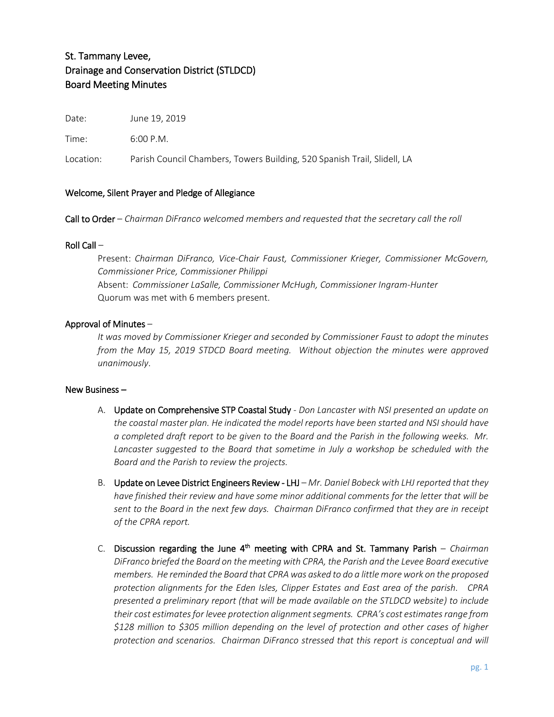# St. Tammany Levee, Drainage and Conservation District (STLDCD) Board Meeting Minutes

Date: June 19, 2019

Time: 6:00 P.M.

Location: Parish Council Chambers, Towers Building, 520 Spanish Trail, Slidell, LA

# Welcome, Silent Prayer and Pledge of Allegiance

Call to Order – *Chairman DiFranco welcomed members and requested that the secretary call the roll*

#### Roll Call –

Present: *Chairman DiFranco, Vice-Chair Faust, Commissioner Krieger, Commissioner McGovern, Commissioner Price, Commissioner Philippi* Absent: *Commissioner LaSalle, Commissioner McHugh, Commissioner Ingram-Hunter* Quorum was met with 6 members present.

## Approval of Minutes –

*It was moved by Commissioner Krieger and seconded by Commissioner Faust to adopt the minutes from the May 15, 2019 STDCD Board meeting. Without objection the minutes were approved unanimously*.

#### New Business –

- A. Update on Comprehensive STP Coastal Study *Don Lancaster with NSI presented an update on the coastal master plan. He indicated the model reports have been started and NSI should have a completed draft report to be given to the Board and the Parish in the following weeks. Mr.*  Lancaster suggested to the Board that sometime in July a workshop be scheduled with the *Board and the Parish to review the projects.*
- B. Update on Levee District Engineers Review LHJ *Mr. Daniel Bobeck with LHJ reported that they have finished their review and have some minor additional comments for the letter that will be sent to the Board in the next few days. Chairman DiFranco confirmed that they are in receipt of the CPRA report.*
- C. Discussion regarding the June 4<sup>th</sup> meeting with CPRA and St. Tammany Parish *Chairman DiFranco briefed the Board on the meeting with CPRA, the Parish and the Levee Board executive members. He reminded the Board that CPRA was asked to do a little more work on the proposed protection alignments for the Eden Isles, Clipper Estates and East area of the parish. CPRA presented a preliminary report (that will be made available on the STLDCD website) to include their cost estimates for levee protection alignment segments. CPRA's cost estimates range from \$128 million to \$305 million depending on the level of protection and other cases of higher protection and scenarios. Chairman DiFranco stressed that this report is conceptual and will*